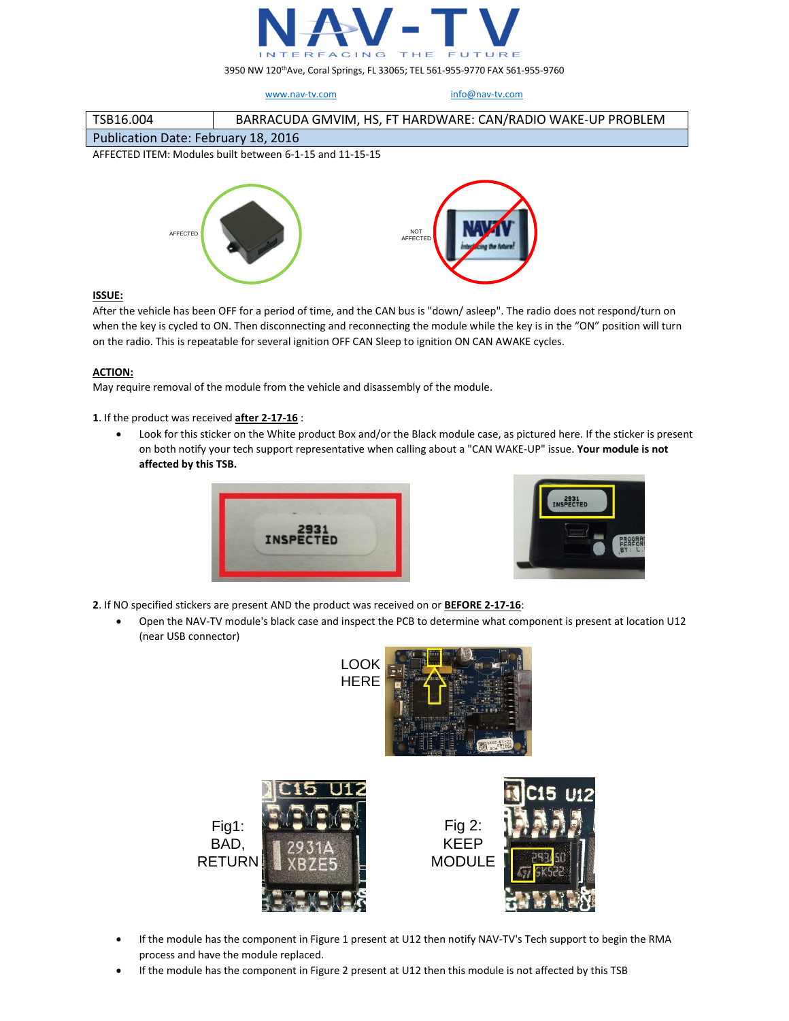

3950 NW 120thAve, Coral Springs, FL 33065; TEL 561-955-9770 FAX 561-955-9760

[www.nav-tv.com](http://www.nav-tv.com/) [info@nav-tv.com](mailto:info@nav-tv.com)





## **ISSUE:**

After the vehicle has been OFF for a period of time, and the CAN bus is "down/ asleep". The radio does not respond/turn on when the key is cycled to ON. Then disconnecting and reconnecting the module while the key is in the "ON" position will turn on the radio. This is repeatable for several ignition OFF CAN Sleep to ignition ON CAN AWAKE cycles.

## **ACTION:**

May require removal of the module from the vehicle and disassembly of the module.

**1**. If the product was received **after 2-17-16** :

 Look for this sticker on the White product Box and/or the Black module case, as pictured here. If the sticker is present on both notify your tech support representative when calling about a "CAN WAKE-UP" issue. **Your module is not affected by this TSB.**





**2**. If NO specified stickers are present AND the product was received on or **BEFORE 2-17-16**:

 Open the NAV-TV module's black case and inspect the PCB to determine what component is present at location U12 (near USB connector)



- If the module has the component in Figure 1 present at U12 then notify NAV-TV's Tech support to begin the RMA process and have the module replaced.
- If the module has the component in Figure 2 present at U12 then this module is not affected by this TSB